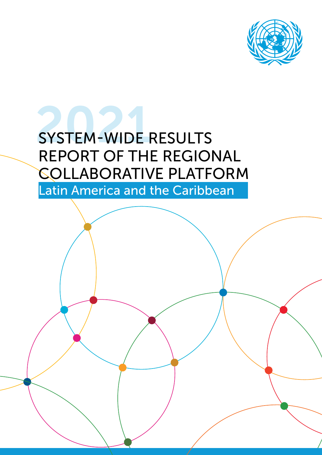

### **SYSTEM-WIDE RESULTS** REPORT OF THE REGIONAL COLLABORATIVE PLATFORM

Latin America and the Caribbean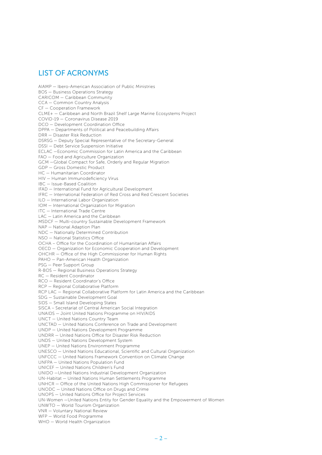#### LIST OF ACRONYMS

AIAMP — Ibero-American Association of Public Ministries BOS — Business Operations Strategy CARICOM — Caribbean Community CCA — Common Country Analysis CF — Cooperation Framework CLME+ — Caribbean and North Brazil Shelf Large Marine Ecosystems Project COVID-19 — Coronavirus Disease 2019 DCO — Development Coordination Office DPPA — Departments of Political and Peacebuilding Affairs DRR — Disaster Risk Reduction DSRSG — Deputy Special Representative of the Secretary-General DSSI — Debt Service Suspension Initiative ECLAC —Economic Commission for Latin America and the Caribbean FAO — Food and Agriculture Organization GCM —Global Compact for Safe, Orderly and Regular Migration GDP — Gross Domestic Product HC — Humanitarian Coordinator HIV — Human Immunodeficiency Virus IBC — Issue-Based Coalition IFAD — International Fund for Agricultural Development IFRC — International Federation of Red Cross and Red Crescent Societies ILO — International Labor Organization IOM — International Organization for Migration ITC — International Trade Centre LAC — Latin America and the Caribbean MSDCF — Multi-country Sustainable Development Framework NAP — National Adaption Plan NDC — Nationally Determined Contribution NSO — National Statistics Office OCHA – Office for the Coordination of Humanitarian Affairs OECD — Organization for Economic Cooperation and Development OHCHR — Office of the High Commissioner for Human Rights PAHO — Pan-American Health Organization PSG — Peer Support Group R-BOS — Regional Business Operations Strategy RC — Resident Coordinator RCO — Resident Coordinator's Office RCP — Regional Collaborative Platform RCP LAC — Regional Collaborative Platform for Latin America and the Caribbean SDG — Sustainable Development Goal SIDS — Small Island Developing States SISCA – Secretariat of Central American Social Integration UNAIDS — Joint United Nations Programme on HIV/AIDS UNCT — United Nations Country Team UNCTAD — United Nations Conference on Trade and Development UNDP — United Nations Development Programme UNDRR — United Nations Office for Disaster Risk Reduction UNDS — United Nations Development System UNEP — United Nations Environment Programme UNESCO — United Nations Educational, Scientific and Cultural Organization UNFCCC — United Nations Framework Convention on Climate Change UNFPA — United Nations Population Fund UNICEF — United Nations Children's Fund UNIDO —United Nations Industrial Development Organization UN-Habitat — United Nations Human Settlements Programme UNHCR — Office of the United Nations High Commissioner for Refugees UNODC — United Nations Office on Drugs and Crime UNOPS — United Nations Office for Project Services UN-Women —United Nations Entity for Gender Equality and the Empowerment of Women UNWTO — World Tourism Organization VNR — Voluntary National Review WFP — World Food Programme WHO — World Health Organization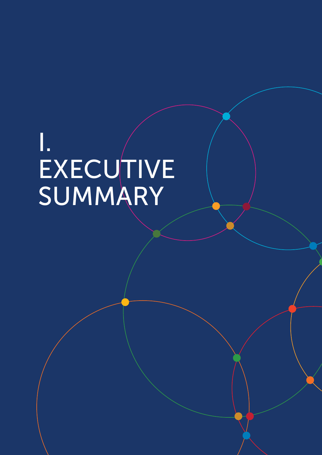# I.<br>EXECUTIVE<br>SUMMARY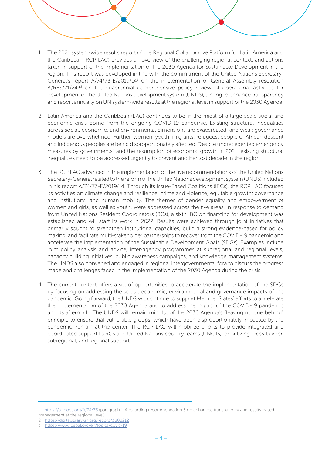

- 1. The 2021 system-wide results report of the Regional Collaborative Platform for Latin America and the Caribbean (RCP LAC) provides an overview of the challenging regional context, and actions taken in support of the implementation of the 2030 Agenda for Sustainable Development in the region. This report was developed in line with the commitment of the United Nations Secretary-General's report A/74/73-E/2019/14<sup>1</sup> on the implementation of General Assembly resolution A/RES/71/243<sup>2</sup> on the quadrennial comprehensive policy review of operational activities for development of the United Nations development system (UNDS), aiming to enhance transparency and report annually on UN system-wide results at the regional level in support of the 2030 Agenda.
- 2. Latin America and the Caribbean (LAC) continues to be in the midst of a large-scale social and economic crisis borne from the ongoing COVID-19 pandemic. Existing structural inequalities across social, economic, and environmental dimensions are exacerbated, and weak governance models are overwhelmed. Further, women, youth, migrants, refugees, people of African descent and indigenous peoples are being disproportionately affected. Despite unprecedented emergency measures by governments<sup>3</sup> and the resumption of economic growth in 2021, existing structural inequalities need to be addressed urgently to prevent another lost decade in the region.
- 3. The RCP LAC advanced in the implementation of the five recommendations of the United Nations Secretary-General related to the reform of the United Nations development system (UNDS) included in his report A/74/73-E/2019/14. Through its Issue-Based Coalitions (IBCs), the RCP LAC focused its activities on climate change and resilience; crime and violence; equitable growth; governance and institutions; and human mobility. The themes of gender equality and empowerment of women and girls, as well as youth, were addressed across the five areas. In response to demand from United Nations Resident Coordinators (RCs), a sixth IBC on financing for development was established and will start its work in 2022. Results were achieved through joint initiatives that primarily sought to strengthen institutional capacities, build a strong evidence-based for policy making, and facilitate multi-stakeholder partnerships to recover from the COVID-19 pandemic and accelerate the implementation of the Sustainable Development Goals (SDGs). Examples include joint policy analysis and advice, inter-agency programmes at subregional and regional levels, capacity building initiatives, public awareness campaigns, and knowledge management systems. The UNDS also convened and engaged in regional intergovernmental fora to discuss the progress made and challenges faced in the implementation of the 2030 Agenda during the crisis.
- 4. The current context offers a set of opportunities to accelerate the implementation of the SDGs by focusing on addressing the social, economic, environmental and governance impacts of the pandemic. Going forward, the UNDS will continue to support Member States' efforts to accelerate the implementation of the 2030 Agenda and to address the impact of the COVID-19 pandemic and its aftermath. The UNDS will remain mindful of the 2030 Agenda's "leaving no one behind" principle to ensure that vulnerable groups, which have been disproportionately impacted by the pandemic, remain at the center. The RCP LAC will mobilize efforts to provide integrated and coordinated support to RCs and United Nations country teams (UNCTs), prioritizing cross-border, subregional, and regional support.

<sup>1</sup> <https://undocs.org/A/74/73>(paragraph 114 regarding recommendation 3 on enhanced transparency and results-based management at the regional level).

<sup>2</sup> <https://digitallibrary.un.org/record/3803212>

<sup>3</sup> <https://www.cepal.org/en/topics/covid-19>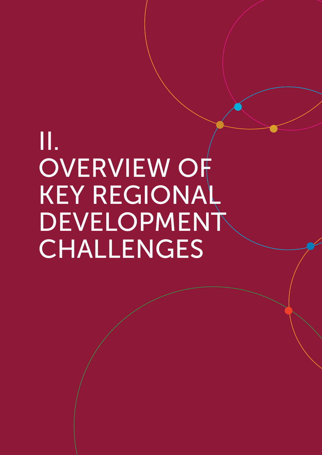## П. **OVERVIEW OF KEY REGIONAL** DEVELOPMENT CHALLENGES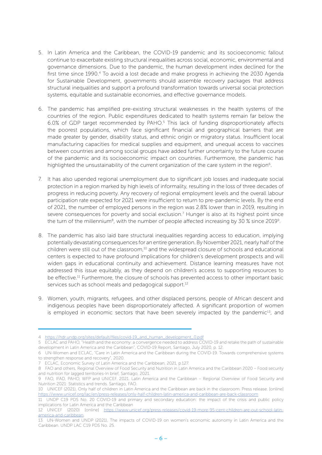- 5. In Latin America and the Caribbean, the COVID-19 pandemic and its socioeconomic fallout continue to exacerbate existing structural inequalities across social, economic, environmental and governance dimensions. Due to the pandemic, the human development index declined for the first time since 1990.4 To avoid a lost decade and make progress in achieving the 2030 Agenda for Sustainable Development, governments should assemble recovery packages that address structural inequalities and support a profound transformation towards universal social protection systems, equitable and sustainable economies, and effective governance models.
- 6. The pandemic has amplified pre-existing structural weaknesses in the health systems of the countries of the region. Public expenditures dedicated to health systems remain far below the 6.0% of GDP target recommended by PAHO.5 This lack of funding disproportionately affects the poorest populations, which face significant financial and geographical barriers that are made greater by gender, disability status, and ethnic origin or migratory status. Insufficient local manufacturing capacities for medical supplies and equipment, and unequal access to vaccines between countries and among social groups have added further uncertainty to the future course of the pandemic and its socioeconomic impact on countries. Furthermore, the pandemic has highlighted the unsustainability of the current organization of the care system in the region<sup>6</sup>.
- 7. It has also upended regional unemployment due to significant job losses and inadequate social protection in a region marked by high levels of informality, resulting in the loss of three decades of progress in reducing poverty. Any recovery of regional employment levels and the overall labour participation rate expected for 2021 were insufficient to return to pre-pandemic levels. By the end of 2021, the number of employed persons in the region was 2.8% lower than in 2019, resulting in severe consequences for poverty and social exclusion.<sup>7</sup> Hunger is also at its highest point since the turn of the millennium<sup>8</sup>, with the number of people affected increasing by 30 % since 2019<sup>9</sup>.
- 8. The pandemic has also laid bare structural inequalities regarding access to education, implying potentially devastating consequences for an entire generation. By November 2021, nearly half of the children were still out of the classroom,<sup>10</sup> and the widespread closure of schools and educational centers is expected to have profound implications for children's development prospects and will widen gaps in educational continuity and achievement. Distance learning measures have not addressed this issue equitably, as they depend on children's access to supporting resources to be effective.<sup>11</sup> Furthermore, the closure of schools has prevented access to other important basic services such as school meals and pedagogical support.<sup>12</sup>
- 9. Women, youth, migrants, refugees, and other displaced persons, people of African descent and indigenous peoples have been disproportionately affected. A significant proportion of women is employed in economic sectors that have been severely impacted by the pandemic<sup>13</sup>, and

<sup>4</sup> [https://hdr.undp.org/sites/default/files/covid-19\\_and\\_human\\_development\\_0.pdf](https://hdr.undp.org/sites/default/files/covid-19_and_human_development_0.pdf)

<sup>5</sup> ECLAC and PAHO, "Health and the economy: a convergence needed to address COVID-19 and retake the path of sustainable development in Latin America and the Caribbean", COVID-19 Report, Santiago, July 2020, p. 12.

<sup>6</sup> UN-Women and ECLAC, "Care in Latin America and the Caribbean during the COVID-19. Towards comprehensive systems to strengthen response and recovery", 2020.

<sup>7</sup> ECLAC, Economic Survey of Latin America and the Caribbean, 2021, p.127.

<sup>8</sup> FAO and others, Regional Overview of Food Security and Nutrition in Latin America and the Caribbean 2020 – Food security and nutrition for lagged territories-In brief, Santiago, 2021.

<sup>9</sup> FAO, IFAD, PAHO, WFP and UNICEF. 2021. Latin America and the Caribbean – Regional Overview of Food Security and Nutrition 2021: Statistics and trends. Santiago, FAO.

<sup>10</sup> UNICEF (2021), Only half of children in Latin America and the Caribbean are back in the classroom. Press release. [online] [https://www.unicef.org/lac/en/press-releases/only-half-children-latin-america-and-caribbean-are-back-classroom](https://www.unicef.org/lac/en/press-releases/only-half-children-latin-america-and-caribbean-are-back)

<sup>11</sup> UNDP C19 PDS No. 20 COVID-19 and primary and secondary education: the impact of the crisis and public policy implications for Latin America and the Caribbean

<sup>12</sup> UNICEF (2020) [online] [https://www.unicef.org/press-releases/covid-19-more-95-cent-children-are-out-school-latin](https://www.unicef.org/press-releases/covid-19-more-95-cent-children-are-out-school-latin-america-and-caribbean)[america-and-caribbean](https://www.unicef.org/press-releases/covid-19-more-95-cent-children-are-out-school-latin-america-and-caribbean).

<sup>13</sup> UN-Women and UNDP (2021), The impacts of COVID-19 on women's economic autonomy in Latin America and the Caribbean. UNDP LAC C19 PDS No. 25.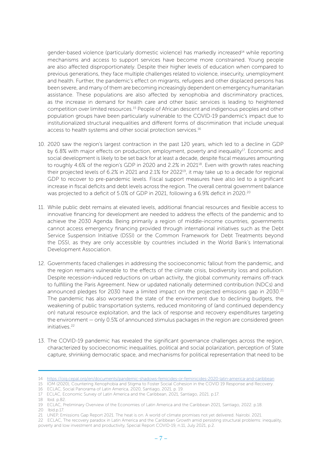gender-based violence (particularly domestic violence) has markedly increased<sup>14</sup> while reporting mechanisms and access to support services have become more constrained. Young people are also affected disproportionately. Despite their higher levels of education when compared to previous generations, they face multiple challenges related to violence, insecurity, unemployment and health. Further, the pandemic's effect on migrants, refugees and other displaced persons has been severe, and many of them are becoming increasingly dependent on emergency humanitarian assistance. These populations are also affected by xenophobia and discriminatory practices, as the increase in demand for health care and other basic services is leading to heightened competition over limited resources.15 People of African descent and indigenous peoples and other population groups have been particularly vulnerable to the COVID-19 pandemic's impact due to institutionalized structural inequalities and different forms of discrimination that include unequal access to health systems and other social protection services.<sup>16</sup>

- 10. 2020 saw the region's largest contraction in the past 120 years, which led to a decline in GDP by 6.8% with major effects on production, employment, poverty and inequality<sup>17</sup>. Economic and social development is likely to be set back for at least a decade, despite fiscal measures amounting to roughly 4.6% of the region's GDP in 2020 and 2.2% in 2021<sup>18</sup>. Even with growth rates reaching their projected levels of 6.2% in 2021 and 2.1% for 2022<sup>19</sup>, it may take up to a decade for regional GDP to recover to pre-pandemic levels. Fiscal support measures have also led to a significant increase in fiscal deficits and debt levels across the region. The overall central government balance was projected to a deficit of 5.0% of GDP in 2021, following a 6.9% deficit in 2020.20
- 11. While public debt remains at elevated levels, additional financial resources and flexible access to innovative financing for development are needed to address the effects of the pandemic and to achieve the 2030 Agenda. Being primarily a region of middle-income countries, governments cannot access emergency financing provided through international initiatives such as the Debt Service Suspension Initiative (DSSI) or the Common Framework for Debt Treatments beyond the DSSI, as they are only accessible by countries included in the World Bank's International Development Association.
- 12. Governments faced challenges in addressing the socioeconomic fallout from the pandemic, and the region remains vulnerable to the effects of the climate crisis, biodiversity loss and pollution. Despite recession-induced reductions on urban activity, the global community remains off-track to fulfilling the Paris Agreement. New or updated nationally determined contribution (NDCs) and announced pledges for 2030 have a limited impact on the projected emissions gap in 2030.<sup>21</sup> The pandemic has also worsened the state of the environment due to declining budgets, the weakening of public transportation systems, reduced monitoring of (and continued dependency on) natural resource exploitation, and the lack of response and recovery expenditures targeting the environment — only 0.5% of announced stimulus packages in the region are considered green initiatives<sup>22</sup>
- 13. The COVID-19 pandemic has revealed the significant governance challenges across the region, characterized by socioeconomic inequalities, political and social polarization, perception of State capture, shrinking democratic space, and mechanisms for political representation that need to be

18 Ibid. p.82.

<sup>14</sup> <https://oig.cepal.org/en/documents/pandemic-shadows-femicides-or-feminicides-2020-latin-america-and-caribbean>

<sup>15</sup> IOM (2020), Countering Xenophobia and Stigma to Foster Social Cohesion in the COVID 19 Response and Recovery.

<sup>16</sup> ECLAC, Social Panorama of Latin America, 2020, Santiago, 2021, p. 19.

<sup>17</sup> ECLAC, Economic Survey of Latin America and the Caribbean, 2021, Santiago, 2021. p.17.

<sup>19</sup> ECLAC, Preliminary Overview of the Economies of Latin America and the Caribbean 2021, Santiago, 2022. p.18. 20 Ibid.p.17.

<sup>21</sup> UNEP, Emissions Gap Report 2021. The heat is on. A world of climate promises not yet delivered. Nairobi. 2021.

<sup>22</sup> ECLAC, The recovery paradox in Latin America and the Caribbean Growth amid persisting structural problems: inequality, poverty and low investment and productivity, Special Report COVID-19, n.11, July 2021, p.2.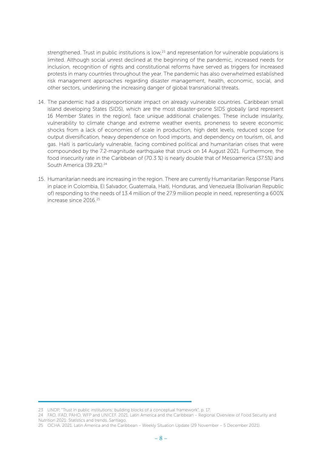strengthened. Trust in public institutions is low,<sup>23</sup> and representation for vulnerable populations is limited. Although social unrest declined at the beginning of the pandemic, increased needs for inclusion, recognition of rights and constitutional reforms have served as triggers for increased protests in many countries throughout the year. The pandemic has also overwhelmed established risk management approaches regarding disaster management, health, economic, social, and other sectors, underlining the increasing danger of global transnational threats.

- 14. The pandemic had a disproportionate impact on already vulnerable countries. Caribbean small island developing States (SIDS), which are the most disaster-prone SIDS globally (and represent 16 Member States in the region), face unique additional challenges. These include insularity, vulnerability to climate change and extreme weather events, proneness to severe economic shocks from a lack of economies of scale in production, high debt levels, reduced scope for output diversification, heavy dependence on food imports, and dependency on tourism, oil, and gas. Haiti is particularly vulnerable, facing combined political and humanitarian crises that were compounded by the 7.2-magnitude earthquake that struck on 14 August 2021. Furthermore, the food insecurity rate in the Caribbean of (70.3 %) is nearly double that of Mesoamerica (37.5%) and South America (39.2%).24
- 15. Humanitarian needs are increasing in the region. There are currently Humanitarian Response Plans in place in Colombia, El Salvador, Guatemala, Haiti, Honduras, and Venezuela (Bolivarian Republic of) responding to the needs of 13.4 million of the 27.9 million people in need, representing a 600% increase since 2016.25

<sup>23</sup> UNDP, "Trust in public institutions: building blocks of a conceptual framework", p. 17.

<sup>24</sup> FAO, IFAD, PAHO, WFP and UNICEF. 2021. Latin America and the Caribbean – Regional Overview of Food Security and Nutrition 2021: Statistics and trends. Santiago.

<sup>25</sup> OCHA. 2021. Latin America and the Caribbean – Weekly Situation Update (29 November – 5 December 2021).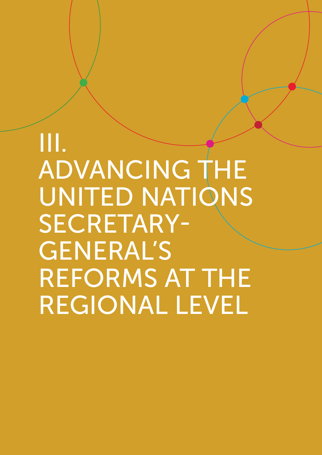## Ш. ADVANCING THE UNITED NATIONS **SECRETARY-GENERAL'S REFORMS AT THE REGIONAL LEVEL**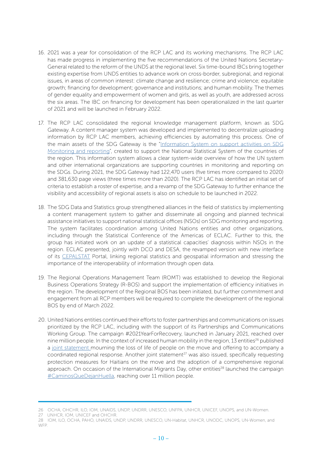- 16. 2021 was a year for consolidation of the RCP LAC and its working mechanisms. The RCP LAC has made progress in implementing the five recommendations of the United Nations Secretary-General related to the reform of the UNDS at the regional level. Six time-bound IBCs bring together existing expertise from UNDS entities to advance work on cross-border, subregional, and regional issues, in areas of common interest: climate change and resilience; crime and violence; equitable growth; financing for development; governance and institutions; and human mobility. The themes of gender equality and empowerment of women and girls, as well as youth, are addressed across the six areas. The IBC on financing for development has been operationalized in the last quarter of 2021 and will be launched in February 2022.
- 17. The RCP LAC consolidated the regional knowledge management platform, known as SDG Gateway. A content manager system was developed and implemented to decentralize uploading information by RCP LAC members, achieving efficiencies by automating this process. One of the main assets of the SDG Gateway is the "[Information System on support activities on SDG](https://agenda2030lac.org/estadisticas/support-sdg-monitoring-and-reporting.html) [Monitoring and reporting"](https://agenda2030lac.org/estadisticas/support-sdg-monitoring-and-reporting.html), created to support the National Statistical System of the countries of the region. This information system allows a clear system-wide overview of how the UN system and other international organizations are supporting countries in monitoring and reporting on the SDGs. During 2021, the SDG Gateway had 122,470 users (five times more compared to 2020) and 381,630 page views (three times more than 2020). The RCP LAC has identified an initial set of criteria to establish a roster of expertise, and a revamp of the SDG Gateway to further enhance the visibility and accessibility of regional assets is also on schedule to be launched in 2022.
- 18. The SDG Data and Statistics group strengthened alliances in the field of statistics by implementing a content management system to gather and disseminate all ongoing and planned technical assistance initiatives to support national statistical offices (NSOs) on SDG monitoring and reporting. The system facilitates coordination among United Nations entities and other organizations, including through the Statistical Conference of the Americas of ECLAC. Further to this, the group has initiated work on an update of a statistical capacities' diagnosis within NSOs in the region. ECLAC presented, jointly with DCO and DESA, the revamped version with new interface of its [CEPALSTAT](https://statistics.cepal.org/portal/cepalstat/index.html?lang=en) Portal, linking regional statistics and geospatial information and stressing the importance of the interoperability of information through open data.
- 19. The Regional Operations Management Team (ROMT) was established to develop the Regional Business Operations Strategy (R-BOS) and support the implementation of efficiency initiatives in the region. The development of the Regional BOS has been initiated, but further commitment and engagement from all RCP members will be required to complete the development of the regional BOS by end of March 2022.
- 20. United Nations entities continued their efforts to foster partnerships and communications on issues prioritized by the RCP LAC, including with the support of its Partnerships and Communications Working Group. The campaign [#2021YearForRecovery](http://bit.ly/3ifHXn2), launched in January 2021, reached over nine million people. In the context of increased human mobility in the region, 13 entities<sup>26</sup> published a [joint state](https://unsdg.un.org/latest/announcements/un-agencies-mourn-loss-life-people-move-latin-america-and-offer-accompany)ment mourning the loss of life of people on the move and offering to accompany a coordinated regional response. Another joint statement<sup>27</sup> was also issued, specifically requesting protection measures for Haitians on the move and the adoption of a comprehensive regional approach. On occasion of the International Migrants Day, other entities<sup>28</sup> launched the campaign [#CaminosQueDejanHuella,](https://bit.ly/3gJT085) reaching over 11 million people.

<sup>26</sup> OCHA, OHCHR, ILO, IOM, UNAIDS, UNDP, UNDRR, UNESCO, UNFPA, UNHCR, UNICEF, UNOPS, and UN-Women.

<sup>27</sup> UNHCR, IOM, UNICEF and OHCHR.

<sup>28</sup> IOM, ILO, OCHA, PAHO, UNAIDS, UNDP, UNDRR, UNESCO, UN-Habitat, UNHCR, UNODC, UNOPS, UN-Women, and WFP.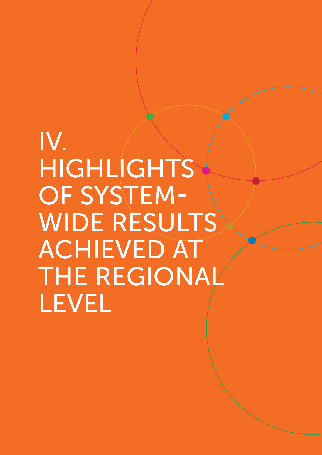## IV. HIGHLIGHTS **OF SYSTEM-WIDE RESULTS ACHIEVED AT THE REGIONAL LEVEL**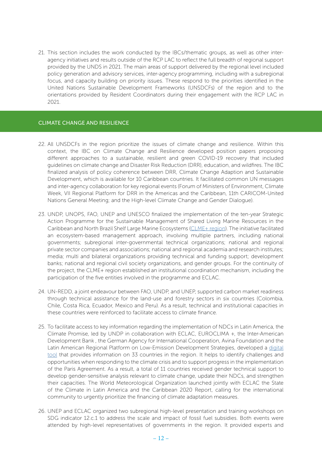21. This section includes the work conducted by the IBCs/thematic groups, as well as other interagency initiatives and results outside of the RCP LAC to reflect the full breadth of regional support provided by the UNDS in 2021. The main areas of support delivered by the regional level included policy generation and advisory services, inter-agency programming, including with a subregional focus, and capacity building on priority issues. These respond to the priorities identified in the United Nations Sustainable Development Frameworks (UNSDCFs) of the region and to the orientations provided by Resident Coordinators during their engagement with the RCP LAC in 2021.

#### CLIMATE CHANGE AND RESILIENCE

- 22. All UNSDCFs in the region prioritize the issues of climate change and resilience. Within this context, the IBC on Climate Change and Resilience developed position papers proposing different approaches to a sustainable, resilient and green COVID-19 recovery that included guidelines on climate change and Disaster Risk Reduction (DRR), education, and wildfires. The IBC finalized analysis of policy coherence between DRR, Climate Change Adaption and Sustainable Development, which is available for 10 Caribbean countries. It facilitated common UN messages and inter-agency collaboration for key regional events (Forum of Ministers of Environment, Climate Week, VII Regional Platform for DRR in the Americas and the Caribbean, 11th CARICOM-United Nations General Meeting; and the High-level Climate Change and Gender Dialogue).
- 23. UNDP, UNOPS, FAO, UNEP and UNESCO finalized the implementation of the ten-year Strategic Action Programme for the Sustainable Management of Shared Living Marine Resources in the Caribbean and North Brazil Shelf Large Marine Ecosystems ([CLME+ region\)](https://clmeplus.org/). The initiative facilitated an ecosystem-based management approach, involving multiple partners, including national governments; subregional inter-governmental technical organizations; national and regional private sector companies and associations; national and regional academia and research institutes; media; multi and bilateral organizations providing technical and funding support; development banks; national and regional civil society organizations, and gender groups. For the continuity of the project, the CLME+ region established an institutional coordination mechanism, including the participation of the five entities involved in the programme and ECLAC.
- 24. UN-REDD, a joint endeavour between FAO, UNDP, and UNEP, supported carbon market readiness through technical assistance for the land-use and forestry sectors in six countries (Colombia, Chile, Costa Rica, Ecuador, Mexico and Peru). As a result, technical and institutional capacities in these countries were reinforced to facilitate access to climate finance.
- 25. To facilitate access to key information regarding the implementation of NDCs in Latin America, the Climate Promise, led by UNDP in collaboration with ECLAC, EUROCLIMA +, the Inter-American Development Bank , the German Agency for International Cooperation, Avina Foundation and the Latin American Regional Platform on Low-Emission Development Strategies, developed a [digital](https://www.youtube.com/watch?v=YxmCWk-458U) [tool](https://www.youtube.com/watch?v=YxmCWk-458U) that provides information on 33 countries in the region. It helps to identify challenges and opportunities when responding to the climate crisis and to support progress in the implementation of the Paris Agreement. As a result, a total of 11 countries received gender technical support to develop gender-sensitive analysis relevant to climate change, update their NDCs, and strengthen their capacities. The World Meteorological Organization launched jointly with ECLAC the State of the Climate in Latin America and the Caribbean 2020 Report, calling for the international community to urgently prioritize the financing of climate adaptation measures.
- 26. UNEP and ECLAC organized two subregional high-level presentation and training workshops on SDG indicator 12.c.1 to address the scale and impact of fossil fuel subsidies. Both events were attended by high-level representatives of governments in the region. It provided experts and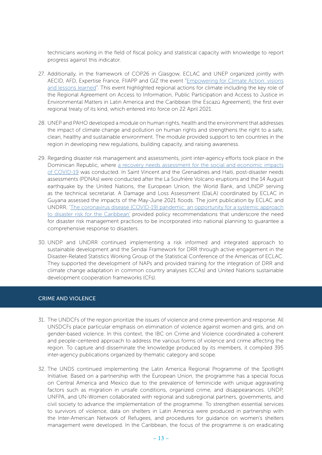technicians working in the field of fiscal policy and statistical capacity with knowledge to report progress against this indicator.

- 27. Additionally, in the framework of COP26 in Glasgow, ECLAC and UNEP organized jointly with AECID, AFD, Expertise France, FIIAPP and GIZ the event "[Empowering for Climate Action: visions](https://euroclimaplus.org/en/recent-events/articles-and-interviews/1520-empowering-for-climate-action-at-cop26) [and lessons learned"](https://euroclimaplus.org/en/recent-events/articles-and-interviews/1520-empowering-for-climate-action-at-cop26). This event highlighted regional actions for climate including the key role of the Regional Agreement on Access to Information, Public Participation and Access to Justice in Environmental Matters in Latin America and the Caribbean (the Escazú Agreement), the first ever regional treaty of its kind, which entered into force on 22 April 2021.
- 28. UNEP and PAHO developed a module on human rights, health and the environment that addresses the impact of climate change and pollution on human rights and strengthens the right to a safe, clean, healthy and sustainable environment. The module provided support to ten countries in the region in developing new regulations, building capacity, and raising awareness.
- 29. Regarding disaster risk management and assessments, joint inter-agency efforts took place in the Dominican Republic, where [a recovery needs assessment for the social and economic impacts](https://www.latinamerica.undp.org/content/rblac/en/home/climate-and-disaster-resilience/resilient-recovery/PDNA-and-CRNA-Assessments/The-Recovery-Needs-Assessment-for-the-Socaland-Economic-Impacts-of-COVID-19-Dominican-Republic.html) [of COVID-19](https://www.latinamerica.undp.org/content/rblac/en/home/climate-and-disaster-resilience/resilient-recovery/PDNA-and-CRNA-Assessments/The-Recovery-Needs-Assessment-for-the-Socaland-Economic-Impacts-of-COVID-19-Dominican-Republic.html) was conducted. In Saint Vincent and the Grenadines and Haiti, post-disaster needs assessments (PDNAs) were conducted after the La Soufrière Volcano eruptions and the 14 August earthquake by the United Nations, the European Union, the World Bank, and UNDP serving as the technical secretariat. A Damage and Loss Assessment (DaLA) coordinated by ECLAC in Guyana assessed the impacts of the May-June 2021 floods. The joint publication by ECLAC and UNDRR, '[The coronavirus disease \(COVID-19\) pandemic: an opportunity for a systemic approach](https://www.cepal.org/en/publications/46732-coronavirus-disease-covid-19-pandemic-opportunity-systemic-approach-disaster-risk) [to disaster risk for the Caribbean'](https://www.cepal.org/en/publications/46732-coronavirus-disease-covid-19-pandemic-opportunity-systemic-approach-disaster-risk) provided policy recommendations that underscore the need for disaster risk management practices to be incorporated into national planning to guarantee a comprehensive response to disasters.
- 30. UNDP and UNDRR continued implementing a risk informed and integrated approach to sustainable development and the Sendai Framework for DRR through active engagement in the Disaster-Related Statistics Working Group of the Statistical Conference of the Americas of ECLAC. They supported the development of NAPs and provided training for the integration of DRR and climate change adaptation in common country analyses (CCAs) and United Nations sustainable development cooperation frameworks (CFs).

#### CRIME AND VIOLENCE

- 31. The UNDCFs of the region prioritize the issues of violence and crime prevention and response. All UNSDCFs place particular emphasis on elimination of violence against women and girls, and on gender-based violence. In this context, the IBC on Crime and Violence coordinated a coherent and people-centered approach to address the various forms of violence and crime affecting the region. To capture and disseminate the knowledge produced by its members, it compiled 395 inter-agency publications organized by thematic category and scope.
- 32. The UNDS continued implementing the Latin America Regional Programme of the Spotlight Initiative. Based on a partnership with the European Union, the programme has a special focus on Central America and Mexico due to the prevalence of feminicide with unique aggravating factors such as migration in unsafe conditions, organized crime, and disappearances. UNDP, UNFPA, and UN-Women collaborated with regional and subregional partners, governments, and civil society to advance the implementation of the programme. To strengthen essential services to survivors of violence, data on shelters in Latin America were produced in partnership with the Inter-American Network of Refugees, and procedures for guidance on women's shelters management were developed. In the Caribbean, the focus of the programme is on eradicating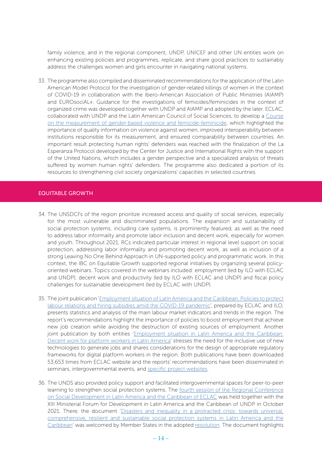family violence, and in the regional component, UNDP, UNICEF and other UN entities work on enhancing existing policies and programmes, replicate, and share good practices to sustainably address the challenges women and girls encounter in navigating national systems.

33. The programme also compiled and disseminated recommendations for the application of the Latin American Model Protocol for the investigation of gender-related killings of women in the context of COVID-19 in collaboration with the Ibero-American Association of Public Ministries (AIAMP) and EUROsociAL+. Guidance for the investigations of femicides/feminicides in the context of organized crime was developed together with UNDP and AIAMP and adopted by the later. ECLAC, collaborated with UNDP and the Latin American Council of Social Sciences, to develop a [Course](https://www.clacso.org/en/curso-de-medicion-de-violencia-por-razon-de-genero-contra-las-mujeres-y-de-femicidio-feminicidio/) [on the measurement of gender-based violence and femicide-feminicide,](https://www.clacso.org/en/curso-de-medicion-de-violencia-por-razon-de-genero-contra-las-mujeres-y-de-femicidio-feminicidio/) which highlighted the importance of quality information on violence against women, improved interoperability between institutions responsible for its measurement, and ensured comparability between countries. An important result protecting human rights' defenders was reached with the finalization of the La Esperanza Protocol developed by the Center for Justice and International Rights with the support of the United Nations, which includes a gender perspective and a specialized analysis of threats suffered by women human rights' defenders. The programme also dedicated a portion of its resources to strengthening civil society organizations' capacities in selected countries.

#### EQUITABLE GROWTH

- 34. The UNSDCFs of the region prioritize increased access and quality of social services, especially for the most vulnerable and discriminated populations. The expansion and sustainability of social protection systems, including care systems, is prominently featured, as well as the need to address labor informality and promote labor inclusion and decent work, especially for women and youth. Throughout 2021, RCs indicated particular interest in regional level support on social protection, addressing labor informality and promoting decent work, as well as inclusion of a strong Leaving No One Behind Approach in UN-supported policy and programmatic work. In this context, the IBC on Equitable Growth supported regional initiatives by organizing several policyoriented webinars. Topics covered in the webinars included: employment (led by ILO with ECLAC and UNDP); decent work and productivity (led by ILO with ECLAC and UNDP) and fiscal policy challenges for sustainable development (led by ECLAC with UNDP).
- 35. The joint publication '[Employment situation of Latin America and the Caribbean. Policies to protect](https://www.cepal.org/en/publications/47511-employment-situation-latin-america-and-caribbean-policies-protect-labour) [labour relations and hiring subsidies amid the COVID-19 pandemic'](https://www.cepal.org/en/publications/47511-employment-situation-latin-america-and-caribbean-policies-protect-labour), prepared by ECLAC and ILO, presents statistics and analysis of the main labour market indicators and trends in the region. The report's recommendations highlight the importance of policies to boost employment that achieve new job creation while avoiding the destruction of existing sources of employment. Another joint publication by both entities ['Employment situation in Latin America and the Caribbean:](https://www.cepal.org/en/publications/46956-employment-situation-latin-america-and-caribbean-decent-work-platform-workers) [Decent work for platform workers in Latin America'](https://www.cepal.org/en/publications/46956-employment-situation-latin-america-and-caribbean-decent-work-platform-workers) stresses the need for the inclusive use of new technologies to generate jobs and shares considerations for the design of appropriate regulatory frameworks for digital platform workers in the region. Both publications have been downloaded 53,653 times from ECLAC website and the reports' recommendations have been disseminated in seminars, intergovernmental events, and [specific project websites.](https://www.cepal.org/es/transformaciones-tecnologicas-america-latina-empleos-productivos)
- 36. The UNDS also provided policy support and facilitated intergovernmental spaces for peer-to-peer learning to strengthen social protection systems. The [fourth session of the Regional Conference](https://crds.cepal.org/4/en) [on Social Development in Latin America and the Caribbean of ECLAC](https://crds.cepal.org/4/en) was held together with the XIII Ministerial Forum for Development in Latin America and the Caribbean of UNDP in October 2021. There, the document '[Disasters and inequality in a protracted crisis: towards universal,](https://www.cepal.org/en/publications/47376-disasters-and-inequality-protracted-crisis-towards-universal-comprehensive) [comprehensive, resilient and sustainable social protection systems in Latin America and the](https://www.cepal.org/en/publications/47376-disasters-and-inequality-protracted-crisis-towards-universal-comprehensive) [Caribbean](https://www.cepal.org/en/publications/47376-disasters-and-inequality-protracted-crisis-towards-universal-comprehensive)' was welcomed by Member States in the adopted [resolution.](https://crds.cepal.org/4/en/node/90) The document highlights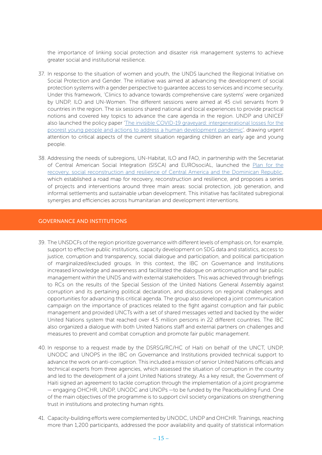the importance of linking social protection and disaster risk management systems to achieve greater social and institutional resilience.

- 37. In response to the situation of women and youth, the UNDS launched the Regional Initiative on Social Protection and Gender. The initiative was aimed at advancing the development of social protection systems with a gender perspective to guarantee access to services and income security. Under this framework, ['Clinics to advance towards comprehensive care systems](https://spark.adobe.com/page/ARA5TrhYLilp4/)' were organized by UNDP, ILO and UN-Women. The different sessions were aimed at 45 civil servants from 9 countries in the region. The six sessions shared national and local experiences to provide practical notions and covered key topics to advance the care agenda in the region. UNDP and UNICEF also launched the policy paper '[The invisible COVID-19 graveyard: intergenerational losses for the](https://www.latinamerica.undp.org/content/rblac/en/home/library/crisis_prevention_and_recovery/the-invisible-covid-19-graveyard--intergenerational-losses-for-t.html) [poorest young people and actions to address a human development pandemic'](https://www.latinamerica.undp.org/content/rblac/en/home/library/crisis_prevention_and_recovery/the-invisible-covid-19-graveyard--intergenerational-losses-for-t.html), drawing urgent attention to critical aspects of the current situation regarding children an early age and young people.
- 38. Addressing the needs of subregions, UN-Habitat, ILO and FAO, in partnership with the Secretariat of Central American Social Integration (SISCA) and EUROsociAL, launched the [Plan for the](https://eurosocial.eu/en/eurosocial-tv/plan-para-la-recuperacion-reconstruccion-social-y-resiliencia-de-centroamerica-y-republica-dominicana/) [recovery, social reconstruction and resilience of Central America and the Dominican Republic](https://eurosocial.eu/en/eurosocial-tv/plan-para-la-recuperacion-reconstruccion-social-y-resiliencia-de-centroamerica-y-republica-dominicana/), which established a road map for recovery, reconstruction and resilience, and proposes a series of projects and interventions around three main areas: social protection, job generation, and informal settlements and sustainable urban development. This initiative has facilitated subregional synergies and efficiencies across humanitarian and development interventions.

#### GOVERNANCE AND INSTITUTIONS

- 39. The UNSDCFs of the region prioritize governance with different levels of emphasis on, for example, support to effective public institutions, capacity development on SDG data and statistics, access to justice, corruption and transparency, social dialogue and participation, and political participation of marginalized/excluded groups. In this context, the IBC on Governance and Institutions increased knowledge and awareness and facilitated the dialogue on anticorruption and fair public management within the UNDS and with external stakeholders. This was achieved through briefings to RCs on the results of the Special Session of the United Nations General Assembly against corruption and its pertaining political declaration, and discussions on regional challenges and opportunities for advancing this critical agenda. The group also developed a joint communication campaign on the importance of practices related to the fight against corruption and fair public management and provided UNCTs with a set of shared messages vetted and backed by the wider United Nations system that reached over 4.5 million persons in 22 different countries. The IBC also organized a dialogue with both United Nations staff and external partners on challenges and measures to prevent and combat corruption and promote fair public management.
- 40. In response to a request made by the DSRSG/RC/HC of Haiti on behalf of the UNCT, UNDP, UNODC and UNOPS in the IBC on Governance and Institutions provided technical support to advance the work on anti-corruption. This included a mission of senior United Nations officials and technical experts from three agencies, which assessed the situation of corruption in the country and led to the development of a joint United Nations strategy. As a key result, the Government of Haiti signed an agreement to tackle corruption through the implementation of a joint programme — engaging OHCHR, UNDP, UNODC and UNOPs —to be funded by the Peacebuilding Fund. One of the main objectives of the programme is to support civil society organizations on strengthening trust in institutions and protecting human rights.
- 41. Capacity-building efforts were complemented by UNODC, UNDP and OHCHR. Trainings, reaching more than 1,200 participants, addressed the poor availability and quality of statistical information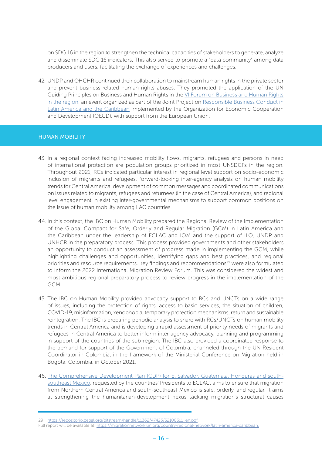on SDG 16 in the region to strengthen the technical capacities of stakeholders to generate, analyze and disseminate SDG 16 indicators. This also served to promote a "data community" among data producers and users, facilitating the exchange of experiences and challenges.

42. UNDP and OHCHR continued their collaboration to mainstream human rights in the private sector and prevent business-related human rights abuses. They promoted the application of the [UN](https://eur03.safelinks.protection.outlook.com/?url=https%3A%2F%2Fwww.ohchr.org%2Fdocuments%2Fpublications%2Fguidingprinciplesbusinesshr_en.pdf&data=04%7C01%7Caugusto.rey%40undp.org%7C06ff020faee14fb880a208d92796846f%7Cb3e5db5e2944483799f57488ace54319%7C0%7C0%7C637584349686801684%7CUnknown%7CTWFpbGZsb3d8eyJWIjoiMC4wLjAwMDAiLCJQIjoiV2luMzIiLCJBTiI6Ik1haWwiLCJXVCI6Mn0%3D%7C1000&sdata=RkUZV4SXtif%2FoSh246gJAefDLJ7UIbStU3vPqd3T3z8%3D&reserved=0) [Guiding Principles on Business and Human Rights](https://eur03.safelinks.protection.outlook.com/?url=https%3A%2F%2Fwww.ohchr.org%2Fdocuments%2Fpublications%2Fguidingprinciplesbusinesshr_en.pdf&data=04%7C01%7Caugusto.rey%40undp.org%7C06ff020faee14fb880a208d92796846f%7Cb3e5db5e2944483799f57488ace54319%7C0%7C0%7C637584349686801684%7CUnknown%7CTWFpbGZsb3d8eyJWIjoiMC4wLjAwMDAiLCJQIjoiV2luMzIiLCJBTiI6Ik1haWwiLCJXVCI6Mn0%3D%7C1000&sdata=RkUZV4SXtif%2FoSh246gJAefDLJ7UIbStU3vPqd3T3z8%3D&reserved=0) in the [VI Forum on Business and Human Rights](https://vifororegional.empresasyderechoshumanos.org/) [in the region,](https://vifororegional.empresasyderechoshumanos.org/) an event organized as part of the Joint Project on [Responsible Business Conduct in](https://www.ohchr.org/SP/Issues/Business/Pages/JointProjectResponsibleBusinessConduct.aspx) [Latin America and the Caribbean](https://www.ohchr.org/SP/Issues/Business/Pages/JointProjectResponsibleBusinessConduct.aspx) implemented by the Organization for Economic Cooperation and Development (OECD), with support from the European Union.

#### HUMAN MOBILITY

- 43. In a regional context facing increased mobility flows, migrants, refugees and persons in need of international protection are population groups prioritized in most UNSDCFs in the region. Throughout 2021, RCs indicated particular interest in regional level support on socio-economic inclusion of migrants and refugees, forward-looking inter-agency analysis on human mobility trends for Central America, development of common messages and coordinated communications on issues related to migrants, refugees and returnees (in the case of Central America), and regional level engagement in existing inter-governmental mechanisms to support common positions on the issue of human mobility among LAC countries.
- 44. In this context, the IBC on Human Mobility prepared the [Regional Review of the Implementation](https://pactomigracion.cepal.org/en) [of the Global Compact for Safe, Orderly and Regular Migration \(GCM\) in Latin America and](https://pactomigracion.cepal.org/en) [the Caribbean](https://pactomigracion.cepal.org/en) under the leadership of ECLAC and IOM and the support of ILO, UNDP and UNHCR in the preparatory process. This process provided governments and other stakeholders an opportunity to conduct an assessment of progress made in implementing the GCM, while highlighting challenges and opportunities, identifying gaps and best practices, and regional priorities and resource requirements. Key findings and recommendations<sup>29</sup> were also formulated to inform the 2022 International Migration Review Forum. This was considered the widest and most ambitious regional preparatory process to review progress in the implementation of the GCM.
- 45. The IBC on Human Mobility provided advocacy support to RCs and UNCTs on a wide range of issues, including the protection of rights, access to basic services, the situation of children, COVID-19, misinformation, xenophobia, temporary protection mechanisms, return and sustainable reintegration. The IBC is preparing periodic analysis to share with RCs/UNCTs on human mobility trends in Central America and is developing a rapid assessment of priority needs of migrants and refugees in Central America to better inform inter-agency advocacy, planning and programming in support of the countries of the sub-region. The IBC also provided a coordinated response to the demand for support of the Government of Colombia, channeled through the UN Resident Coordinator in Colombia, in the framework of the Ministerial Conference on Migration held in Bogota, Colombia, in October 2021.
- 46. [The Comprehensive Development Plan \(CDP\) for El Salvador, Guatemala, Honduras and south](https://www.cepal.org/en/publications/47249-comprehensive-development-plan-salvador-guatemala-honduras-and-south-southeast)[southeast Mexico,](https://www.cepal.org/en/publications/47249-comprehensive-development-plan-salvador-guatemala-honduras-and-south-southeast) requested by the countries' Presidents to ECLAC, aims to ensure that migration from Northern Central America and south-southeast Mexico is safe, orderly, and regular. It aims at strengthening the humanitarian-development nexus tackling migration's structural causes

<sup>29</sup> [https://repositorio.cepal.org/bitstream/handle/11362/47423/S2100311\\_en.pdf](https://repositorio.cepal.org/bitstream/handle/11362/47423/S2100311_en.pdf).

Full report will be available at: <https://migrationnetwork.un.org/country-regional-network/latin-america-caribbean>.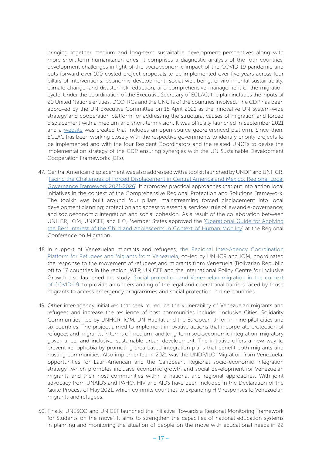bringing together medium and long-term sustainable development perspectives along with more short-term humanitarian ones. It comprises a diagnostic analysis of the four countries' development challenges in light of the socioeconomic impact of the COVID-19 pandemic and puts forward over 100 costed project proposals to be implemented over five years across four pillars of interventions: economic development; social well-being; environmental sustainability, climate change, and disaster risk reduction; and comprehensive management of the migration cycle. Under the coordination of the Executive Secretary of ECLAC, the plan includes the inputs of 20 United Nations entities, DCO, RCs and the UNCTs of the countries involved. The CDP has been approved by the UN Executive Committee on 15 April 2021 as the innovative UN System-wide strategy and cooperation platform for addressing the structural causes of migration and forced displacement with a medium and short-term vision. It was officially launched in September 2021 and a [website](https://www.cepal.org/en/pdi) was created that includes an open-source georeferenced platform. Since then, ECLAC has been working closely with the respective governments to identify priority projects to be implemented and with the four Resident Coordinators and the related UNCTs to devise the implementation strategy of the CDP ensuring synergies with the UN Sustainable Development Cooperation Frameworks (CFs).

- 47. Central American displacement was also addressed with a toolkit launched by UNDP and UNHCR, '[Facing the Challenges of Forced Displacement in Central America and Mexico. Regional Local](https://www.latinamerica.undp.org/content/rblac/en/home/library/democratic_governance/enfrentando-los-desafios-del-desplazamiento-forzado-en-centroame.html) [Governance Framework 2021-2026'](https://www.latinamerica.undp.org/content/rblac/en/home/library/democratic_governance/enfrentando-los-desafios-del-desplazamiento-forzado-en-centroame.html). It promotes practical approaches that put into action local initiatives in the context of the Comprehensive Regional Protection and Solutions Framework. The toolkit was built around four pillars: mainstreaming forced displacement into local development planning; protection and access to essential services; rule of law and e-governance; and socioeconomic integration and social cohesion. As a result of the collaboration between UNHCR, IOM, UNICEF, and ILO, Member States approved the ['Operational Guide for Applying](https://www.rcmvs.org/sites/default/files/Documentos%20de%20Trabajo/operational_guide_for_applying_the_best_interests_of_the_child_in_contexts_of_human_mobility.pdf) [the Best Interest of the Child and Adolescents in Context of Human Mobility'](https://www.rcmvs.org/sites/default/files/Documentos%20de%20Trabajo/operational_guide_for_applying_the_best_interests_of_the_child_in_contexts_of_human_mobility.pdf) at the Regional Conference on Migration.
- 48. In support of Venezuelan migrants and refugees, [the Regional Inter-Agency Coordination](https://www.r4v.info/es/home) [Platform for Refugees and Migrants from Venezuela,](https://www.r4v.info/es/home) co-led by UNHCR and IOM, coordinated the response to the movement of refugees and migrants from Venezuela (Bolivarian Republic of) to 17 countries in the region. WFP, UNICEF and the International Policy Centre for Inclusive Growth also launched the study '[Social protection and Venezuelan migration in the context](https://www.wfp.org/publications/social-protection-and-venezuelan-migration-latin-america-and-caribbean-context-covid) [of COVID-19'](https://www.wfp.org/publications/social-protection-and-venezuelan-migration-latin-america-and-caribbean-context-covid) to provide an understanding of the legal and operational barriers faced by those migrants to access emergency programmes and social protection in nine countries.
- 49. Other inter-agency initiatives that seek to reduce the vulnerability of Venezuelan migrants and refugees and increase the resilience of host communities include: 'Inclusive Cities, Solidarity Communities', led by UNHCR, IOM, UN-Habitat and the European Union in nine pilot cities and six countries. The project aimed to implement innovative actions that incorporate protection of refugees and migrants, in terms of medium- and long-term socioeconomic integration, migratory governance, and inclusive, sustainable urban development. The initiative offers a new way to prevent xenophobia by promoting area-based integration plans that benefit both migrants and hosting communities. Also implemented in 2021 was the UNDP/ILO 'Migration from Venezuela: opportunities for Latin-American and the Caribbean: Regional socio-economic integration strategy', which promotes inclusive economic growth and social development for Venezuelan migrants and their host communities within a national and regional approaches. With joint advocacy from UNAIDS and PAHO, HIV and AIDS have been included in the Declaration of the Quito Process of May 2021, which commits countries to expanding HIV responses to Venezuelan migrants and refugees.
- 50. Finally, UNESCO and UNICEF launched the initiative 'Towards a Regional Monitoring Framework for Students on the move'. It aims to strengthen the capacities of national education systems in planning and monitoring the situation of people on the move with educational needs in 22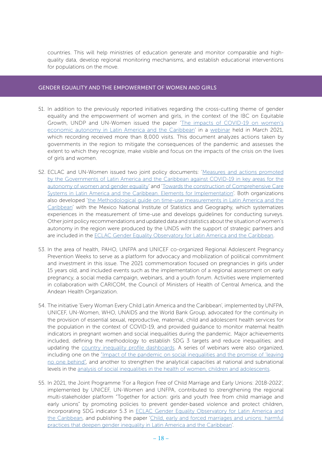countries. This will help ministries of education generate and monitor comparable and highquality data, develop regional monitoring mechanisms, and establish educational interventions for populations on the move.

#### GENDER EQUALITY AND THE EMPOWERMENT OF WOMEN AND GIRLS

- 51. In addition to the previously reported initiatives regarding the cross-cutting theme of gender equality and the empowerment of women and girls, in the context of the IBC on Equitable Growth, UNDP and UN-Women issued the paper '[The impacts of COVID-19 on women's](http://c/Users/marta.alvarez/Downloads/undp-rblac-CD19-PDS-Number25-onumujeres-EN%20(4).pdf) [economic autonomy in Latin America and the Caribbean](http://c/Users/marta.alvarez/Downloads/undp-rblac-CD19-PDS-Number25-onumujeres-EN%20(4).pdf)' in a [webinar](https://www.facebook.com/AmericaLatinaGenera/videos/1725372724291006/) held in March 2021, which recording received more than 8,000 visits. This document analyzes actions taken by governments in the region to mitigate the consequences of the pandemic and assesses the extent to which they recognize, make visible and focus on the impacts of the crisis on the lives of girls and women.
- 52. ECLAC and UN-Women issued two joint policy documents: ['Measures and actions promoted](https://www.cepal.org/sites/default/files/events/files/220222_documento_mapeo_medidas_covid-19_rev_dag_eng.pdf) [by the Governments of Latin America and the Caribbean against COVID-19 in key areas for the](https://www.cepal.org/sites/default/files/events/files/220222_documento_mapeo_medidas_covid-19_rev_dag_eng.pdf) [autonomy of women and gender equality'](https://www.cepal.org/sites/default/files/events/files/220222_documento_mapeo_medidas_covid-19_rev_dag_eng.pdf) and '[Towards the construction of Comprehensive Care](https://www2.unwomen.org/-/media/field%20office%20americas/documentos/publicaciones/2021/11/towardsconstructioncaresystems_nov15-21%20v04.pdf?la=es&vs=123) [Systems in Latin America and the Caribbean. Elements for Implementation](https://www2.unwomen.org/-/media/field%20office%20americas/documentos/publicaciones/2021/11/towardsconstructioncaresystems_nov15-21%20v04.pdf?la=es&vs=123)'. Both organizations also developed 'the [Methodological guide on time-use measurements in Latin America and the](https://cea.cepal.org/10/sites/cea10/files/presentations/cea10-time-use-measurements-latin-america-the-caribbean.pdf) [Caribbean](https://cea.cepal.org/10/sites/cea10/files/presentations/cea10-time-use-measurements-latin-america-the-caribbean.pdf)' with the Mexico National Institute of Statistics and Geography, which systematizes experiences in the measurement of time-use and develops guidelines for conducting surveys. Other joint policy recommendations and updated data and statistics about the situation of women's autonomy in the region were produced by the UNDS with the support of strategic partners and are included in the [ECLAC Gender Equality Observatory for Latin America and the Caribbean.](https://oig.cepal.org/en)
- 53. In the area of health, PAHO, UNFPA and UNICEF co-organized Regional Adolescent Pregnancy Prevention Weeks to serve as a platform for advocacy and mobilization of political commitment and investment in this issue. The 2021 commemoration focused on pregnancies in girls under 15 years old, and included events such as the implementation of a regional assessment on early pregnancy, a social media campaign, webinars, and a youth forum. Activities were implemented in collaboration with CARICOM, the Council of Ministers of Health of Central America, and the Andean Health Organization.
- 54. The initiative 'Every Woman Every Child Latin America and the Caribbean', implemented by UNFPA, UNICEF, UN-Women, WHO, UNAIDS and the World Bank Group, advocated for the continuity in the provision of essential sexual, reproductive, maternal, child and adolescent health services for the population in the context of COVID-19, and provided guidance to monitor maternal health indicators in pregnant women and social inequalities during the pandemic. Major achievements included, defining the methodology to establish SDG 3 targets and reduce inequalities; and updating the [country inequality profile dashboards.](https://public.tableau.com/app/profile/lauren.francis/viz/EWEC-LACDashboard/Indicators) A series of webinars were also organized, including one on the ["Impact of the pandemic on social inequalities and the promise of 'leaving](https://youtu.be/9Wh6lxEkXjM) [no one behind",](https://youtu.be/9Wh6lxEkXjM) and another to strengthen the analytical capacities at national and subnational levels in the [analysis of social inequalities in the health of women, children and adolescents](https://www.youtube.com/watch?v=-nf3WAUoFM8).
- 55. In 2021, the Joint Programme 'For a Region Free of Child Marriage and Early Unions: 2018-2022', implemented by UNICEF, UN-Women and UNFPA, contributed to strengthening the regional multi-stakeholder platform "Together for action: girls and youth free from child marriage and early unions" by promoting policies to prevent gender-based violence and protect children, incorporating SDG indicator 5.3 in [ECLAC Gender Equality Observatory for Latin America and](https://oig.cepal.org/en) [the Caribbean,](https://oig.cepal.org/en) and publishing the paper '[Child, early and forced marriages and unions: harmful](https://www.cepal.org/es/publicaciones/47552-matrimonios-uniones-infantiles-tempranos-forzados-practicas-nocivas) [practices that deepen gender inequality in Latin America and the Caribbean'](https://www.cepal.org/es/publicaciones/47552-matrimonios-uniones-infantiles-tempranos-forzados-practicas-nocivas).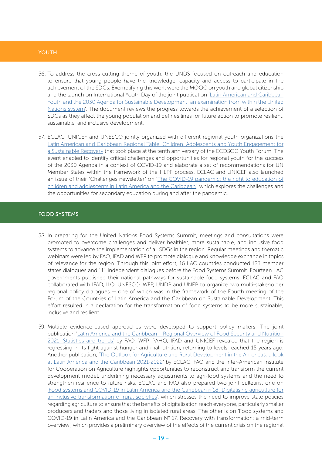#### **YOUTH**

- 56. To address the cross-cutting theme of youth, the UNDS focused on outreach and education to ensure that young people have the knowledge, capacity and access to participate in the achievement of the SDGs. Exemplifying this work were the MOOC on youth and global citizenship and the launch on International Youth Day of the joint publication '[Latin American and Caribbean](https://juventud2030.org/wp-content/uploads/2020/10/C1901185_WEB-eng.pdf) [Youth and the 2030 Agenda for Sustainable Development: an examination from within the United](https://juventud2030.org/wp-content/uploads/2020/10/C1901185_WEB-eng.pdf) [Nations system](https://juventud2030.org/wp-content/uploads/2020/10/C1901185_WEB-eng.pdf)'. The document reviews the progress towards the achievement of a selection of SDGs as they affect the young population and defines lines for future action to promote resilient, sustainable, and inclusive development.
- 57. ECLAC, UNICEF and UNESCO jointly organized with different regional youth organizations the [Latin American and Caribbean Regional Table: Children, Adolescents and Youth Engagement for](https://www.un.org/ecosoc/sites/www.un.org.ecosoc/files/files/en/2021doc/Latin%20America%20and%20Caribbean.pdf) [a Sustainable Recovery](https://www.un.org/ecosoc/sites/www.un.org.ecosoc/files/files/en/2021doc/Latin%20America%20and%20Caribbean.pdf) that took place at the tenth anniversary of the ECOSOC Youth Forum. The event enabled to identify critical challenges and opportunities for regional youth for the success of the 2030 Agenda in a context of COVID-19 and elaborate a set of recommendations for UN Member States within the framework of the HLPF process. ECLAC and UNICEF also launched an issue of their "Challenges newsletter" on ['The COVID-19 pandemic: the right to education of](https://www.cepal.org/en/publications/47639-covid-19-pandemic-right-education-children-and-adolescents-latin-america-and) [children and adolescents in Latin America and the Caribbean'](https://www.cepal.org/en/publications/47639-covid-19-pandemic-right-education-children-and-adolescents-latin-america-and), which explores the challenges and the opportunities for secondary education during and after the pandemic.

#### FOOD SYSTEMS

- 58. In preparing for the United Nations Food Systems Summit, meetings and consultations were promoted to overcome challenges and deliver healthier, more sustainable, and inclusive food systems to advance the implementation of all SDGs in the region. Regular meetings and thematic webinars were led by FAO, IFAD and WFP to promote dialogue and knowledge exchange in topics of relevance for the region. Through this joint effort, 16 LAC countries conducted 123 member states dialogues and 111 independent dialogues before the Food Systems Summit. Fourteen LAC governments published their national pathways for sustainable food systems. ECLAC and FAO collaborated with IFAD, ILO, UNESCO, WFP, UNDP and UNEP to organize two multi-stakeholder regional policy dialogues — one of which was in the framework of the Fourth meeting of the Forum of the Countries of Latin America and the Caribbean on Sustainable Development. This effort resulted in a declaration for the transformation of food systems to be more sustainable, inclusive and resilient.
- 59. Multiple evidence-based approaches were developed to support policy makers. The joint publication '[Latin America and the Caribbean – Regional Overview of Food Security and Nutrition](https://www.fao.org/documents/card/en/c/cb7497en/) [2021: Statistics and trends'](https://www.fao.org/documents/card/en/c/cb7497en/) by FAO, WFP, PAHO, IFAD and UNICEF revealed that the region is regressing in its fight against hunger and malnutrition, returning to levels reached 15 years ago. Another publication, '[The Outlook for Agriculture and Rural Development in the Americas: a look](https://www.cepal.org/es/publicaciones/47208-perspectivas-la-agricultura-desarrollo-rural-americas-mirada-america-latina) [at Latin America and the Caribbean 2021-2022](https://www.cepal.org/es/publicaciones/47208-perspectivas-la-agricultura-desarrollo-rural-americas-mirada-america-latina)' by ECLAC, FAO and the Inter-American Institute for Cooperation on Agriculture highlights opportunities to reconstruct and transform the current development model, underlining necessary adjustments to agri-food systems and the need to strengthen resilience to future risks. ECLAC and FAO also prepared two joint bulletins, one on ['Food systems and COVID-19 in Latin America and the Caribbean n˚18: Digitalising agriculture for](https://www.cepal.org/en/publications/46918-food-systems-and-covid-19-latin-america-and-caribbean-ndeg-18-digitalising) [an inclusive transformation of rural societies](https://www.cepal.org/en/publications/46918-food-systems-and-covid-19-latin-america-and-caribbean-ndeg-18-digitalising)', which stresses the need to improve state policies regarding agriculture to ensure that the benefits of digitalisation reach everyone, particularly smaller producers and traders and those living in isolated rural areas. The other is on '[Food systems and](https://www.cepal.org/en/publications/46915-food-systems-and-covid-19-latin-america-and-caribbean-ndeg-17-recovery) [COVID-19 in Latin America and the Caribbean N° 17. Recovery with transformation: a mid-term](https://www.cepal.org/en/publications/46915-food-systems-and-covid-19-latin-america-and-caribbean-ndeg-17-recovery) [overview'](https://www.cepal.org/en/publications/46915-food-systems-and-covid-19-latin-america-and-caribbean-ndeg-17-recovery), which provides a preliminary overview of the effects of the current crisis on the regional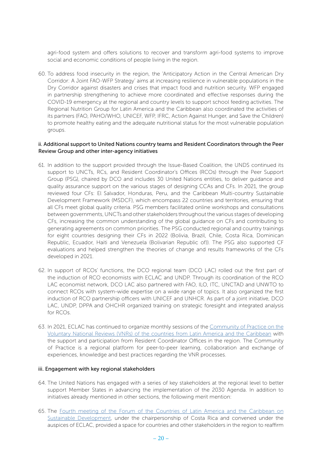agri-food system and offers solutions to recover and transform agri-food systems to improve social and economic conditions of people living in the region.

60. To address food insecurity in the region, the 'Anticipatory Action in the Central American Dry Corridor: A Joint FAO-WFP Strategy' aims at increasing resilience in vulnerable populations in the Dry Corridor against disasters and crises that impact food and nutrition security. WFP engaged in partnership strengthening to achieve more coordinated and effective responses during the COVID-19 emergency at the regional and country levels to support school feeding activities. The Regional Nutrition Group for Latin America and the Caribbean also coordinated the activities of its partners (FAO, PAHO/WHO, UNICEF, WFP, IFRC, Action Against Hunger, and Save the Children) to promote healthy eating and the adequate nutritional status for the most vulnerable population groups.

#### ii. Additional support to United Nations country teams and Resident Coordinators through the Peer Review Group and other inter-agency initiatives

- 61. In addition to the support provided through the Issue-Based Coalition, the UNDS continued its support to UNCTs, RCs, and Resident Coordinator's Offices (RCOs) through the Peer Support Group (PSG), chaired by DCO and includes 30 United Nations entities, to deliver guidance and quality assurance support on the various stages of designing CCAs and CFs. In 2021, the group reviewed four CFs: El Salvador, Honduras, Peru, and the Caribbean Multi-country Sustainable Development Framework (MSDCF), which encompass 22 countries and territories, ensuring that all CFs meet global quality criteria. PSG members facilitated online workshops and consultations between governments, UNCTs and other stakeholders throughout the various stages of developing CFs, increasing the common understanding of the global guidance on CFs and contributing to generating agreements on common priorities. The PSG conducted regional and country trainings for eight countries designing their CFs in 2022 (Bolivia, Brazil, Chile, Costa Rica, Dominican Republic, Ecuador, Haiti and Venezuela (Bolivarian Republic of)). The PSG also supported CF evaluations and helped strengthen the theories of change and results frameworks of the CFs developed in 2021.
- 62. In support of RCOs' functions, the DCO regional team (DCO LAC) rolled out the first part of the induction of RCO economists with ECLAC and UNDP. Through its coordination of the RCO LAC economist network, DCO LAC also partnered with FAO, ILO, ITC, UNCTAD and UNWTO to connect RCOs with system-wide expertise on a wide range of topics. It also organized the first induction of RCO partnership officers with UNICEF and UNHCR. As part of a joint initiative, DCO LAC, UNDP, DPPA and OHCHR organized training on strategic foresight and integrated analysis for RCOs.
- 63. In 2021, ECLAC has continued to organize monthly sessions of the [Community of Practice on the](https://www.cepal.org/en/topics/2030-agenda-sustainable-development/eclac-community-practice-voluntary-national-reviews) [Voluntary National Reviews \(VNRs\) of the countries from Latin America and the Caribbean](https://www.cepal.org/en/topics/2030-agenda-sustainable-development/eclac-community-practice-voluntary-national-reviews) with the support and participation from Resident Coordinator Offices in the region. The Community of Practice is a regional platform for peer-to-peer learning, collaboration and exchange of experiences, knowledge and best practices regarding the VNR processes.

#### iii. Engagement with key regional stakeholders

- 64. The United Nations has engaged with a series of key stakeholders at the regional level to better support Member States in advancing the implementation of the 2030 Agenda. In addition to initiatives already mentioned in other sections, the following merit mention:
- 65. The [Fourth meeting of the Forum of the Countries of Latin America and the Caribbean on](https://foroalc2030.cepal.org/2021/en) [Sustainable Development](https://foroalc2030.cepal.org/2021/en), under the chairpersonship of Costa Rica and convened under the auspices of ECLAC, provided a space for countries and other stakeholders in the region to reaffirm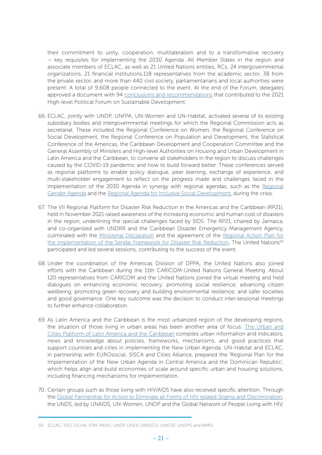their commitment to unity, cooperation, multilateralism and to a transformative recovery — key requisites for implementing the 2030 Agenda. All Member States in the region and associate members of ECLAC, as well as 21 United Nations entities, RCs, 24 intergovernmental organizations, 21 financial institutions,118 representatives from the academic sector, 38 from the private sector, and more than 440 civil society, parliamentarians and local authorities were present. A total of 9,608 people connected to the event. At the end of the Forum, delegates approved a document with 94 [conclusions and recommendations](https://foroalc2030.cepal.org/2021/en/documents/intergovernmentally-agreed-conclusions-and-recommendations-fourth-meeting-forum-countries) that contributed to the 2021 High-level Political Forum on Sustainable Development.

- 66. ECLAC, jointly with UNDP, UNFPA, UN-Women and UN-Habitat, activated several of its existing subsidiary bodies and intergovernmental meetings for which the Regional Commission acts as secretariat. These included the Regional Conference on Women, the Regional Conference on Social Development, the Regional Conference on Population and Development, the Statistical Conference of the Americas, the Caribbean Development and Cooperation Committee and the General Assembly of Ministers and High-level Authorities on Housing and Urban Development in Latin America and the Caribbean, to convene all stakeholders in the region to discuss challenges caused by the COVID-19 pandemic and how to build forward better. These conferences served as regional platforms to enable policy dialogue, peer learning, exchange of experience, and multi-stakeholder engagement to reflect on the progress made and challenges faced in the implementation of the 2030 Agenda in synergy with regional agendas, such as the [Regional](https://www.cepal.org/sites/default/files/events/files/40_years_of_the_regional_gender_agenda.pdf) [Gender Agenda](https://www.cepal.org/sites/default/files/events/files/40_years_of_the_regional_gender_agenda.pdf) and the [Regional Agenda for Inclusive Social Development,](https://www.cepal.org/en/publications/45330-regional-agenda-inclusive-social-development) during the crisis.
- 67. The VII Regional Platform for Disaster Risk Reduction in the Americas and the Caribbean (RP21), held in November 2021 raised awareness of the increasing economic and human cost of disasters in the region, underlining the special challenges faced by SIDS. The RP21, chaired by Jamaica, and co-organized with UNDRR and the Caribbean Disaster Emergency Management Agency, culminated with the [Ministerial Declaration](https://rp-americas.undrr.org/sites/default/files/inline-files/Ministerial%20Declaration_EN.pdf) and the agreement of the [Regional Action Plan f](https://rp-americas.undrr.org/sites/default/files/inline-files/Regional%20Action%20Plan_EN.pdf)or the Implementation of the Sendai Framework for Disaster Risk Reduction. The United Nations<sup>30</sup> participated and led several sessions, contributing to the success of the event.
- 68. Under the coordination of the Americas Division of DPPA, the United Nations also joined efforts with the Caribbean during the 11th CARICOM-United Nations General Meeting. About 120 representatives from CARICOM and the United Nations joined the virtual meeting and held dialogues on enhancing economic recovery; promoting social resilience; advancing citizen wellbeing; promoting green recovery and building environmental resilience; and safer societies and good governance. One key outcome was the decision to conduct inter-sessional meetings to further enhance collaboration.
- 69. As Latin America and the Caribbean is the most urbanized region of the developing regions, the situation of those living in urban areas has been another area of focus. [The Urban and](https://plataformaurbana.cepal.org/en) [Cities Platform of Latin America and the Caribbean](https://plataformaurbana.cepal.org/en) compiles urban information and indicators, news and knowledge about policies, frameworks, mechanisms, and good practices that support countries and cities in implementing the New Urban Agenda. UN-Habitat and ECLAC, in partnership with EUROsocial, SISCA and Cities Alliance, prepared the 'Regional Plan for the Implementation of the New Urban Agenda in Central America and the Dominican Republic', which helps align and build economies of scale around specific urban and housing solutions, including financing mechanisms for implementation.
- 70. Certain groups such as those living with HIV/AIDS have also received specific attention. Through the [Global Partnership for Action to Eliminate all Forms of HIV related Stigma and Discrimination,](https://www.unaids.org/sites/default/files/media_asset/global-partnership-hiv-stigma-discrimination_en.pdf) the UNDS, led by UNAIDS, UN-Women, UNDP and the Global Network of People Living with HIV,

<sup>30</sup> ECLAC, FAO, OCHA, IOM, PAHO, UNDP, UNEP, UNESCO, UNICEF, UNOPS and WMO.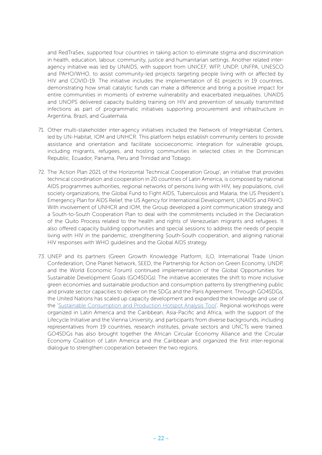and RedTraSex, supported four countries in taking action to eliminate stigma and discrimination in health, education, labour, community, justice and humanitarian settings. Another related interagency initiative was led by UNAIDS, with support from UNICEF, WFP, UNDP, UNFPA, UNESCO and PAHO/WHO, to assist community-led projects targeting people living with or affected by HIV and COVID-19. The initiative includes the implementation of 61 projects in 19 countries, demonstrating how small catalytic funds can make a difference and bring a positive impact for entire communities in moments of extreme vulnerability and exacerbated inequalities. UNAIDS and UNOPS delivered capacity building training on HIV and prevention of sexually transmitted infections as part of programmatic initiatives supporting procurement and infrastructure in Argentina, Brazil, and Guatemala.

- 71. Other multi-stakeholder inter-agency initiatives included the Network of IntegrHabitat Centers, led by UN-Habitat, IOM and UNHCR. This platform helps establish community centers to provide assistance and orientation and facilitate socioeconomic integration for vulnerable groups, including migrants, refugees, and hosting communities in selected cities in the Dominican Republic, Ecuador, Panama, Peru and Trinidad and Tobago.
- 72. The 'Action Plan 2021 of the Horizontal Technical Cooperation Group', an initiative that provides technical coordination and cooperation in 20 countries of Latin America, is composed by national AIDS programmes authorities, regional networks of persons living with HIV, key populations, civil society organizations, the Global Fund to Fight AIDS, Tuberculosis and Malaria, the US President's Emergency Plan for AIDS Relief, the US Agency for International Development, UNAIDS and PAHO. With involvement of UNHCR and IOM, the Group developed a joint communication strategy and a South-to-South Cooperation Plan to deal with the commitments included in the Declaration of the Quito Process related to the health and rights of Venezuelan migrants and refugees. It also offered capacity building opportunities and special sessions to address the needs of people living with HIV in the pandemic, strengthening South-South cooperation, and aligning national HIV responses with WHO guidelines and the Global AIDS strategy.
- 73. UNEP and its partners (Green Growth Knowledge Platform, ILO, International Trade Union Confederation, One Planet Network, SEED, the Partnership for Action on Green Economy, UNDP, and the World Economic Forum) continued implementation of the Global Opportunities for Sustainable Development Goals (GO4SDGs). The initiative accelerates the shift to more inclusive green economies and sustainable production and consumption patterns by strengthening public and private sector capacities to deliver on the SDGs and the Paris Agreement. Through GO4SDGs, the United Nations has scaled up capacity development and expanded the knowledge and use of the '[Sustainable Consumption and Production Hotspot Analysis Tool'](https://www.greengrowthknowledge.org/event/sustainable-consumption-and-production-hotspot-analysis-tool-scp-hat-regional-workshops). Regional workshops were organized in Latin America and the Caribbean, Asia-Pacific and Africa, with the support of the Lifecycle Initiative and the Vienna University, and participants from diverse backgrounds, including representatives from 19 countries, research institutes, private sectors and UNCTs were trained. GO4SDGs has also brought together the African Circular Economy Alliance and the Circular Economy Coalition of Latin America and the Caribbean and organized the first inter-regional dialogue to strengthen cooperation between the two regions.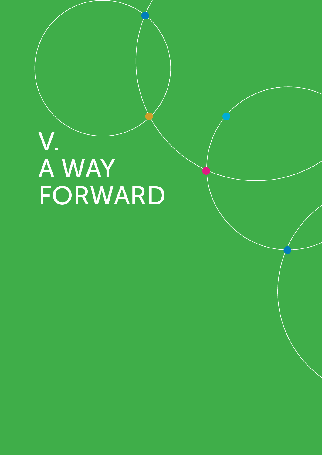## V.<br>A WAY<br>FORWARD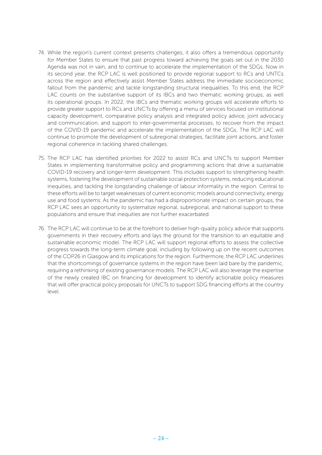- 74. While the region's current context presents challenges, it also offers a tremendous opportunity for Member States to ensure that past progress toward achieving the goals set out in the 2030 Agenda was not in vain, and to continue to accelerate the implementation of the SDGs. Now in its second year, the RCP LAC is well positioned to provide regional support to RCs and UNTCs across the region and effectively assist Member States address the immediate socioeconomic fallout from the pandemic and tackle longstanding structural inequalities. To this end, the RCP LAC counts on the substantive support of its IBCs and two thematic working groups, as well its operational groups. In 2022, the IBCs and thematic working groups will accelerate efforts to provide greater support to RCs and UNCTs by offering a menu of services focused on institutional capacity development, comparative policy analysis and integrated policy advice, joint advocacy and communication, and support to inter-governmental processes, to recover from the impact of the COVID-19 pandemic and accelerate the implementation of the SDGs. The RCP LAC will continue to promote the development of subregional strategies, facilitate joint actions, and foster regional coherence in tackling shared challenges.
- 75. The RCP LAC has identified priorities for 2022 to assist RCs and UNCTs to support Member States in implementing transformative policy and programming actions that drive a sustainable COVID-19 recovery and longer-term development. This includes support to strengthening health systems, fostering the development of sustainable social protection systems, reducing educational inequities, and tackling the longstanding challenge of labour informality in the region. Central to these efforts will be to target weaknesses of current economic models around connectivity, energy use and food systems. As the pandemic has had a disproportionate impact on certain groups, the RCP LAC sees an opportunity to systematize regional, subregional, and national support to these populations and ensure that inequities are not further exacerbated.
- 76. The RCP LAC will continue to be at the forefront to deliver high-quality policy advice that supports governments in their recovery efforts and lays the ground for the transition to an equitable and sustainable economic model. The RCP LAC will support regional efforts to assess the collective progress towards the long-term climate goal, including by following up on the recent outcomes of the COP26 in Glasgow and its implications for the region. Furthermore, the RCP LAC underlines that the shortcomings of governance systems in the region have been laid bare by the pandemic, requiring a rethinking of existing governance models. The RCP LAC will also leverage the expertise of the newly created IBC on financing for development to identify actionable policy measures that will offer practical policy proposals for UNCTs to support SDG financing efforts at the country level.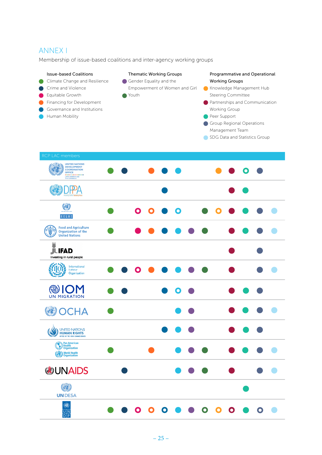#### ANNEX I

Membership of issue-based coalitions and inter-agency working groups

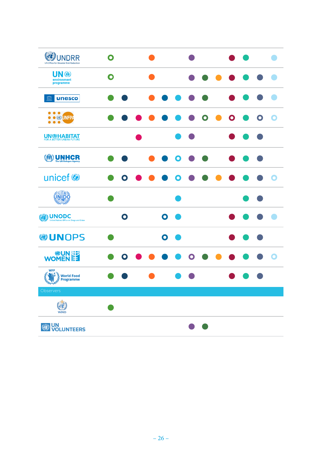